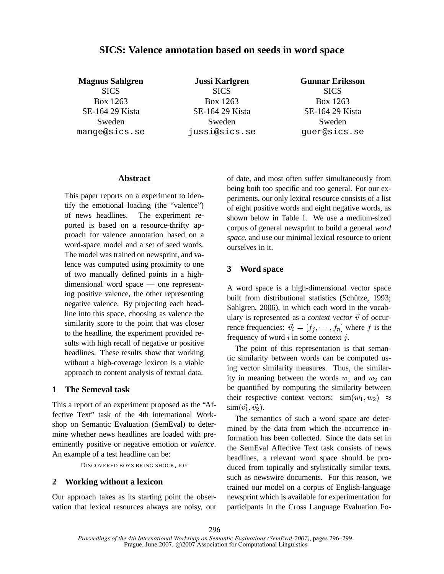# **SICS: Valence annotation based on seeds in word space**

**Magnus Sahlgren SICS** Box 1263 SE-164 29 Kista Sweden mange@sics.se

**Jussi Karlgren SICS** Box 1263 SE-164 29 Kista Sweden jussi@sics.se **Gunnar Eriksson SICS** Box 1263 SE-164 29 Kista Sweden guer@sics.se

### **Abstract**

This paper reports on a experiment to identify the emotional loading (the "valence") of news headlines. The experiment reported is based on a resource-thrifty approach for valence annotation based on a word-space model and a set of seed words. The model was trained on newsprint, and valence was computed using proximity to one of two manually defined points in a highdimensional word space — one representing positive valence, the other representing negative valence. By projecting each headline into this space, choosing as valence the similarity score to the point that was closer to the headline, the experiment provided results with high recall of negative or positive headlines. These results show that working without a high-coverage lexicon is a viable approach to content analysis of textual data.

### **1 The Semeval task**

This a report of an experiment proposed as the "Affective Text" task of the 4th international Workshop on Semantic Evaluation (SemEval) to determine whether news headlines are loaded with preeminently positive or negative emotion or *valence*. An example of a test headline can be:

DISCOVERED BOYS BRING SHOCK, JOY

### **2 Working without a lexicon**

Our approach takes as its starting point the observation that lexical resources always are noisy, out of date, and most often suffer simultaneously from being both too specific and too general. For our experiments, our only lexical resource consists of a list of eight positive words and eight negative words, as shown below in Table 1. We use a medium-sized corpus of general newsprint to build a general *word space*, and use our minimal lexical resource to orient ourselves in it.

### **3 Word space**

A word space is a high-dimensional vector space built from distributional statistics (Schütze, 1993; Sahlgren, 2006), in which each word in the vocabulary is represented as a *context vector*  $\vec{v}$  of occurrence frequencies:  $\vec{v_i} = [f_1, \dots, f_n]$  where f is the frequency of word  $i$  in some context  $j$ .

The point of this representation is that semantic similarity between words can be computed using vector similarity measures. Thus, the similarity in meaning between the words  $w_1$  and  $w_2$  can be quantified by computing the similarity between their respective context vectors:  $\sin(w_1, w_2) \approx$  $\text{sim}(\vec{v_1}, \vec{v_2}).$ 

The semantics of such a word space are determined by the data from which the occurrence information has been collected. Since the data set in the SemEval Affective Text task consists of news headlines, a relevant word space should be produced from topically and stylistically similar texts, such as newswire documents. For this reason, we trained our model on a corpus of English-language newsprint which is available for experimentation for participants in the Cross Language Evaluation Fo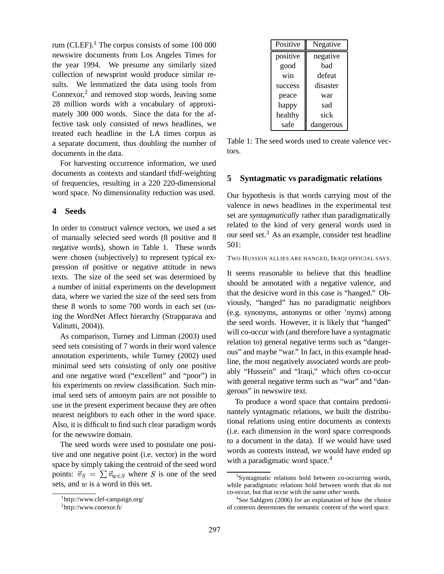rum (CLEF). $^1$  The corpus consists of some 100 000 newswire documents from Los Angeles Times for the year 1994. We presume any similarly sized collection of newsprint would produce similar results. We lemmatized the data using tools from Connexor, $2$  and removed stop words, leaving some 28 million words with a vocabulary of approximately 300 000 words. Since the data for the affective task only consisted of news headlines, we treated each headline in the LA times corpus as a separate document, thus doubling the number of documents in the data.

For harvesting occurrence information, we used documents as contexts and standard tfidf-weighting of frequencies, resulting in a 220 220-dimensional word space. No dimensionality reduction was used.

### **4 Seeds**

In order to construct valence vectors, we used a set of manually selected seed words (8 positive and 8 negative words), shown in Table 1. These words were chosen (subjectively) to represent typical expression of positive or negative attitude in news texts. The size of the seed set was determined by a number of initial experiments on the development data, where we varied the size of the seed sets from these 8 words to some 700 words in each set (using the WordNet Affect hierarchy (Strapparava and Valitutti, 2004)).

As comparison, Turney and Littman (2003) used seed sets consisting of 7 words in their word valence annotation experiments, while Turney (2002) used minimal seed sets consisting of only one positive and one negative word ("excellent" and "poor") in his experiments on review classification. Such minimal seed sets of antonym pairs are not possible to use in the present experiment because they are often nearest neighbors to each other in the word space. Also, it is difficult to find such clear paradigm words for the newswire domain.

The seed words were used to postulate one positive and one negative point (i.e. vector) in the word space by simply taking the centroid of the seed word points:  $\vec{v}_S = \sum \vec{v}_{w \in S}$  where S is one of the seed sets, and  $w$  is a word in this set.

| Positive | Negative  |  |
|----------|-----------|--|
| positive | negative  |  |
| good     | had       |  |
| win      | defeat    |  |
| success  | disaster  |  |
| peace    | war       |  |
| happy    | sad       |  |
| healthy  | sick      |  |
| safe     | dangerous |  |

Table 1: The seed words used to create valence vectors.

### **5 Syntagmatic vs paradigmatic relations**

Our hypothesis is that words carrying most of the valence in news headlines in the experimental test set are *syntagmatically* rather than paradigmatically related to the kind of very general words used in our seed set. $3$  As an example, consider test headline 501:

TWO HUSSEIN ALLIES ARE HANGED, IRAQI OFFICIAL SAYS.

It seems reasonable to believe that this headline should be annotated with a negative valence, and that the desicive word in this case is "hanged." Obviously, "hanged" has no paradigmatic neighbors (e.g. synonyms, antonyms or other 'nyms) among the seed words. However, it is likely that "hanged" will co-occur with (and therefore have a syntagmatic relation to) general negative terms such as "dangerous" and maybe "war." In fact, in this example headline, the most negatively associated words are probably "Hussein" and "Iraqi," which often co-occur with general negative terms such as "war" and "dangerous" in newswire text.

To produce a word space that contains predominantely syntagmatic relations, we built the distributional relations using entire documents as contexts (i.e. each dimension in the word space corresponds to a document in the data). If we would have used words as contexts instead, we would have ended up with a paradigmatic word space.<sup>4</sup>

<sup>1</sup> http://www.clef-campaign.org/

 ${}^{2}$ http://www.conexor.fi/

<sup>&</sup>lt;sup>3</sup>Syntagmatic relations hold between co-occurring words, while paradigmatic relations hold between words that do not co-occur, but that occur with the same *other* words.

<sup>4</sup> See Sahlgren (2006) for an explanation of how the choice of contexts determines the semantic content of the word space.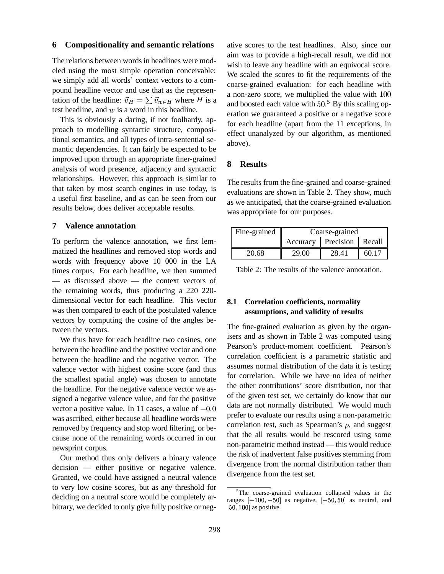### **6 Compositionality and semantic relations**

The relations between words in headlines were modeled using the most simple operation conceivable: we simply add all words' context vectors to a compound headline vector and use that as the representation of the headline:  $\vec{v}_H = \sum \vec{v}_{w \in H}$  where H is a and hoosted test headline, and  $w$  is a word in this headline.

This is obviously a daring, if not foolhardy, approach to modelling syntactic structure, compositional semantics, and all types of intra-sentential semantic dependencies. It can fairly be expected to be improved upon through an appropriate finer-grained analysis of word presence, adjacency and syntactic relationships. However, this approach is similar to that taken by most search engines in use today, is a useful first baseline, and as can be seen from our results below, does deliver acceptable results.

### **7 Valence annotation**

To perform the valence annotation, we first lemmatized the headlines and removed stop words and words with frequency above 10 000 in the LA times corpus. For each headline, we then summed — as discussed above — the context vectors of the remaining words, thus producing a 220 220 dimensional vector for each headline. This vector was then compared to each of the postulated valence vectors by computing the cosine of the angles between the vectors.

We thus have for each headline two cosines, one between the headline and the positive vector and one between the headline and the negative vector. The valence vector with highest cosine score (and thus the smallest spatial angle) was chosen to annotate the headline. For the negative valence vector we assigned a negative valence value, and for the positive vector a positive value. In 11 cases, a value of  $-0.0$ was ascribed, either because all headline words were removed by frequency and stop word filtering, or because none of the remaining words occurred in our newsprint corpus.

Our method thus only delivers a binary valence decision — either positive or negative valence. Granted, we could have assigned a neutral valence to very low cosine scores, but as any threshold for deciding on a neutral score would be completely arbitrary, we decided to only give fully positive or negative scores to the test headlines. Also, since our aim was to provide a high-recall result, we did not wish to leave any headline with an equivocal score. We scaled the scores to fit the requirements of the coarse-grained evaluation: for each headline with a non-zero score, we multiplied the value with 10 and boosted each value with  $50<sup>5</sup>$  By this scaling operation we guaranteed a positive or a negative score for each headline (apart from the 11 exceptions, in effect unanalyzed by our algorithm, as mentioned above).

#### **8 Results**

The results from the fine-grained and coarse-grained evaluations are shown in Table 2. They show, much as we anticipated, that the coarse-grained evaluation was appropriate for our purposes.

| Fine-grained | Coarse-grained |                               |      |
|--------------|----------------|-------------------------------|------|
|              |                | Accuracy   Precision   Recall |      |
| 20.68        | 29.00          | 28.41                         | 60 T |

Table 2: The results of the valence annotation.

## **8.1 Correlation coefficients, normality assumptions, and validity of results**

The fine-grained evaluation as given by the organisers and as shown in Table 2 was computed using Pearson's product-moment coefficient. Pearson's correlation coefficient is a parametric statistic and assumes normal distribution of the data it is testing for correlation. While we have no idea of neither the other contributions' score distribution, nor that of the given test set, we certainly do know that our data are not normally distributed. We would much prefer to evaluate our results using a non-parametric correlation test, such as Spearman's  $\rho$ , and suggest that the all results would be rescored using some non-parametric method instead — this would reduce the risk of inadvertent false positives stemming from divergence from the normal distribution rather than divergence from the test set.

<sup>5</sup>The coarse-grained evaluation collapsed values in the ranges  $[-100, -50]$  as negative,  $[-50, 50]$  as neutral, and  $[50, 100]$  as positive.